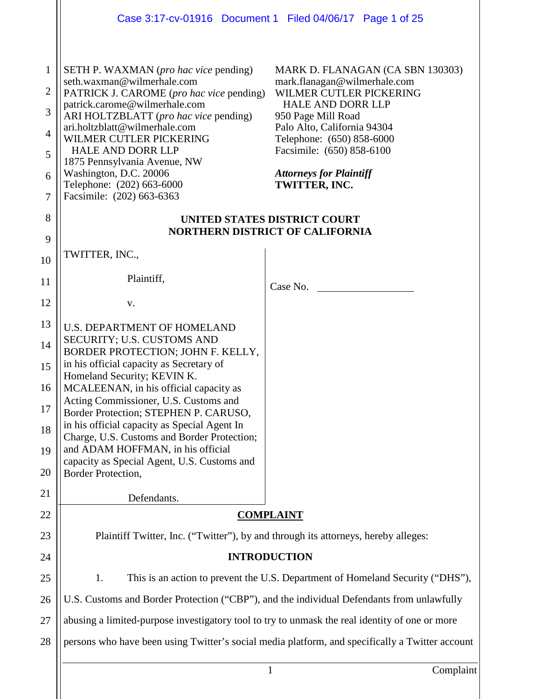|                                                                      | Case 3:17-cv-01916 Document 1 Filed 04/06/17 Page 1 of 25                                                                                                                                                                                                                                                                                                                                                                                                                                                                            |                                                                                                                                                                                                                                                                                           |  |  |  |  |  |  |
|----------------------------------------------------------------------|--------------------------------------------------------------------------------------------------------------------------------------------------------------------------------------------------------------------------------------------------------------------------------------------------------------------------------------------------------------------------------------------------------------------------------------------------------------------------------------------------------------------------------------|-------------------------------------------------------------------------------------------------------------------------------------------------------------------------------------------------------------------------------------------------------------------------------------------|--|--|--|--|--|--|
| $\mathbf{1}$<br>$\overline{2}$<br>3<br>$\overline{4}$<br>5<br>6<br>7 | <b>SETH P. WAXMAN</b> ( <i>pro hac vice</i> pending)<br>seth.waxman@wilmerhale.com<br>PATRICK J. CAROME (pro hac vice pending)<br>patrick.carome@wilmerhale.com<br>ARI HOLTZBLATT (pro hac vice pending)<br>ari.holtzblatt@wilmerhale.com<br>WILMER CUTLER PICKERING<br><b>HALE AND DORR LLP</b><br>1875 Pennsylvania Avenue, NW<br>Washington, D.C. 20006<br>Telephone: (202) 663-6000<br>Facsimile: (202) 663-6363                                                                                                                 | MARK D. FLANAGAN (CA SBN 130303)<br>mark.flanagan@wilmerhale.com<br>WILMER CUTLER PICKERING<br><b>HALE AND DORR LLP</b><br>950 Page Mill Road<br>Palo Alto, California 94304<br>Telephone: (650) 858-6000<br>Facsimile: (650) 858-6100<br><b>Attorneys for Plaintiff</b><br>TWITTER, INC. |  |  |  |  |  |  |
| 8                                                                    | UNITED STATES DISTRICT COURT<br><b>NORTHERN DISTRICT OF CALIFORNIA</b>                                                                                                                                                                                                                                                                                                                                                                                                                                                               |                                                                                                                                                                                                                                                                                           |  |  |  |  |  |  |
| 9<br>10                                                              | TWITTER, INC.,                                                                                                                                                                                                                                                                                                                                                                                                                                                                                                                       |                                                                                                                                                                                                                                                                                           |  |  |  |  |  |  |
| 11                                                                   | Plaintiff,                                                                                                                                                                                                                                                                                                                                                                                                                                                                                                                           | Case No.                                                                                                                                                                                                                                                                                  |  |  |  |  |  |  |
| 12                                                                   | V.                                                                                                                                                                                                                                                                                                                                                                                                                                                                                                                                   |                                                                                                                                                                                                                                                                                           |  |  |  |  |  |  |
| 13<br>14<br>15<br>16<br>17<br>18<br>19<br>20<br>21<br>22             | <b>U.S. DEPARTMENT OF HOMELAND</b><br>SECURITY; U.S. CUSTOMS AND<br>BORDER PROTECTION; JOHN F. KELLY,<br>in his official capacity as Secretary of<br>Homeland Security; KEVIN K.<br>MCALEENAN, in his official capacity as<br>Acting Commissioner, U.S. Customs and<br>Border Protection; STEPHEN P. CARUSO,<br>in his official capacity as Special Agent In<br>Charge, U.S. Customs and Border Protection;<br>and ADAM HOFFMAN, in his official<br>capacity as Special Agent, U.S. Customs and<br>Border Protection,<br>Defendants. | <b>COMPLAINT</b>                                                                                                                                                                                                                                                                          |  |  |  |  |  |  |
| 23                                                                   | Plaintiff Twitter, Inc. ("Twitter"), by and through its attorneys, hereby alleges:                                                                                                                                                                                                                                                                                                                                                                                                                                                   |                                                                                                                                                                                                                                                                                           |  |  |  |  |  |  |
| 24                                                                   | <b>INTRODUCTION</b>                                                                                                                                                                                                                                                                                                                                                                                                                                                                                                                  |                                                                                                                                                                                                                                                                                           |  |  |  |  |  |  |
| 25                                                                   | This is an action to prevent the U.S. Department of Homeland Security ("DHS"),<br>1.                                                                                                                                                                                                                                                                                                                                                                                                                                                 |                                                                                                                                                                                                                                                                                           |  |  |  |  |  |  |
| 26                                                                   | U.S. Customs and Border Protection ("CBP"), and the individual Defendants from unlawfully                                                                                                                                                                                                                                                                                                                                                                                                                                            |                                                                                                                                                                                                                                                                                           |  |  |  |  |  |  |
| 27                                                                   | abusing a limited-purpose investigatory tool to try to unmask the real identity of one or more                                                                                                                                                                                                                                                                                                                                                                                                                                       |                                                                                                                                                                                                                                                                                           |  |  |  |  |  |  |
| 28                                                                   | persons who have been using Twitter's social media platform, and specifically a Twitter account                                                                                                                                                                                                                                                                                                                                                                                                                                      |                                                                                                                                                                                                                                                                                           |  |  |  |  |  |  |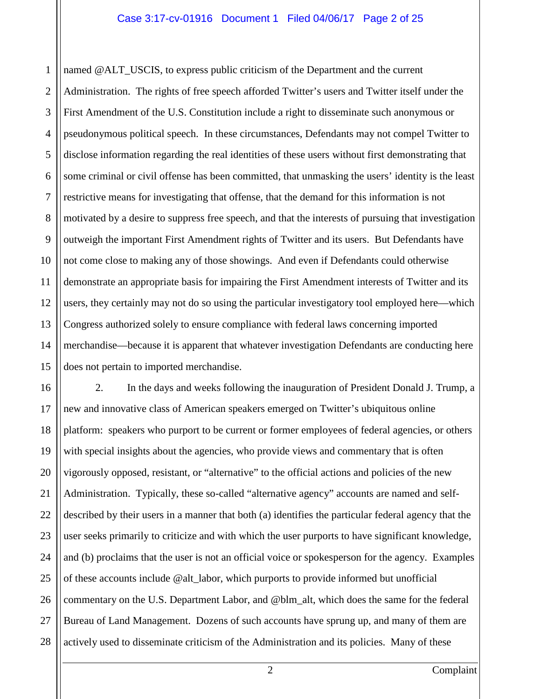1 2 3 4 5 6 7 8 9 10 11 12 13 14 15 named @ALT\_USCIS, to express public criticism of the Department and the current Administration. The rights of free speech afforded Twitter's users and Twitter itself under the First Amendment of the U.S. Constitution include a right to disseminate such anonymous or pseudonymous political speech. In these circumstances, Defendants may not compel Twitter to disclose information regarding the real identities of these users without first demonstrating that some criminal or civil offense has been committed, that unmasking the users' identity is the least restrictive means for investigating that offense, that the demand for this information is not motivated by a desire to suppress free speech, and that the interests of pursuing that investigation outweigh the important First Amendment rights of Twitter and its users. But Defendants have not come close to making any of those showings. And even if Defendants could otherwise demonstrate an appropriate basis for impairing the First Amendment interests of Twitter and its users, they certainly may not do so using the particular investigatory tool employed here—which Congress authorized solely to ensure compliance with federal laws concerning imported merchandise—because it is apparent that whatever investigation Defendants are conducting here does not pertain to imported merchandise.

16 17 18 19 20 21 22 23 24 25 26 27 28 2. In the days and weeks following the inauguration of President Donald J. Trump, a new and innovative class of American speakers emerged on Twitter's ubiquitous online platform: speakers who purport to be current or former employees of federal agencies, or others with special insights about the agencies, who provide views and commentary that is often vigorously opposed, resistant, or "alternative" to the official actions and policies of the new Administration. Typically, these so-called "alternative agency" accounts are named and selfdescribed by their users in a manner that both (a) identifies the particular federal agency that the user seeks primarily to criticize and with which the user purports to have significant knowledge, and (b) proclaims that the user is not an official voice or spokesperson for the agency. Examples of these accounts include @alt\_labor, which purports to provide informed but unofficial commentary on the U.S. Department Labor, and @blm\_alt, which does the same for the federal Bureau of Land Management. Dozens of such accounts have sprung up, and many of them are actively used to disseminate criticism of the Administration and its policies. Many of these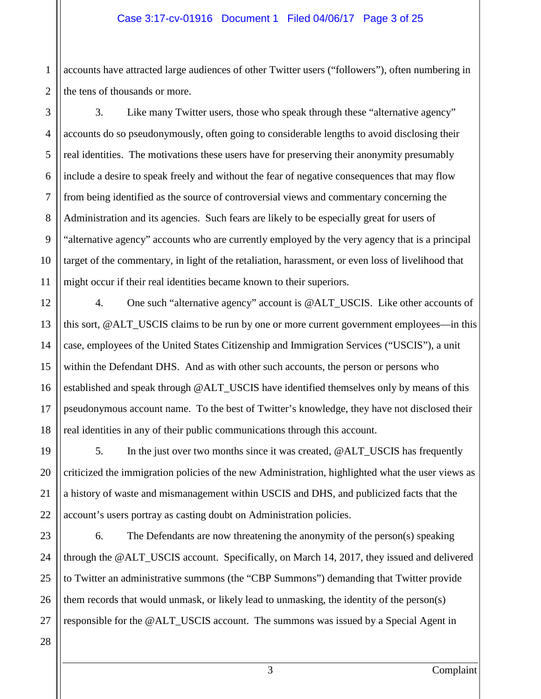1 accounts have attracted large audiences of other Twitter users ("followers"), often numbering in the tens of thousands or more.

3. Like many Twitter users, those who speak through these "alternative agency" accounts do so pseudonymously, often going to considerable lengths to avoid disclosing their real identities. The motivations these users have for preserving their anonymity presumably include a desire to speak freely and without the fear of negative consequences that may flow from being identified as the source of controversial views and commentary concerning the Administration and its agencies. Such fears are likely to be especially great for users of "alternative agency" accounts who are currently employed by the very agency that is a principal target of the commentary, in light of the retaliation, harassment, or even loss of livelihood that might occur if their real identities became known to their superiors.

4. One such "alternative agency" account is @ALT\_USCIS. Like other accounts of this sort, @ALT\_USCIS claims to be run by one or more current government employees—in this case, employees of the United States Citizenship and Immigration Services ("USCIS"), a unit within the Defendant DHS. And as with other such accounts, the person or persons who established and speak through @ALT\_USCIS have identified themselves only by means of this pseudonymous account name. To the best of Twitter's knowledge, they have not disclosed their real identities in any of their public communications through this account.

5. In the just over two months since it was created, @ALT\_USCIS has frequently criticized the immigration policies of the new Administration, highlighted what the user views as a history of waste and mismanagement within USCIS and DHS, and publicized facts that the account's users portray as casting doubt on Administration policies.

6. The Defendants are now threatening the anonymity of the person(s) speaking through the @ALT\_USCIS account. Specifically, on March 14, 2017, they issued and delivered to Twitter an administrative summons (the "CBP Summons") demanding that Twitter provide them records that would unmask, or likely lead to unmasking, the identity of the person(s) responsible for the @ALT\_USCIS account. The summons was issued by a Special Agent in

3 Complaint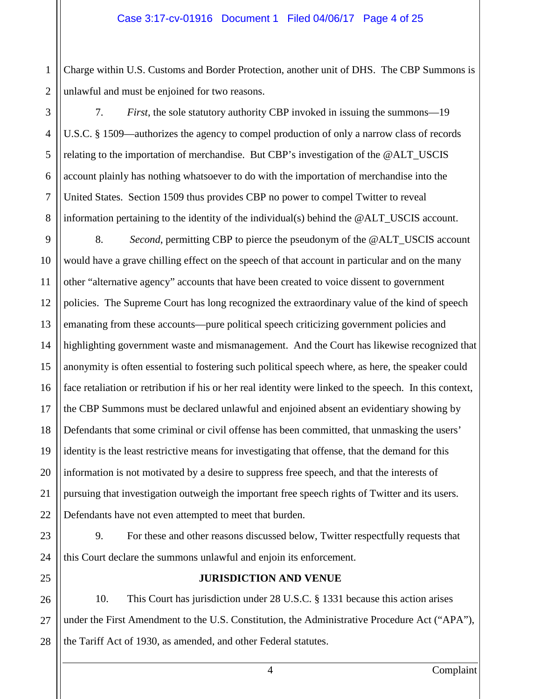1 Charge within U.S. Customs and Border Protection, another unit of DHS. The CBP Summons is unlawful and must be enjoined for two reasons.

7. *First*, the sole statutory authority CBP invoked in issuing the summons—19 U.S.C. § 1509—authorizes the agency to compel production of only a narrow class of records relating to the importation of merchandise. But CBP's investigation of the @ALT\_USCIS account plainly has nothing whatsoever to do with the importation of merchandise into the United States. Section 1509 thus provides CBP no power to compel Twitter to reveal information pertaining to the identity of the individual(s) behind the @ALT\_USCIS account.

8. *Second*, permitting CBP to pierce the pseudonym of the @ALT\_USCIS account would have a grave chilling effect on the speech of that account in particular and on the many other "alternative agency" accounts that have been created to voice dissent to government policies. The Supreme Court has long recognized the extraordinary value of the kind of speech emanating from these accounts—pure political speech criticizing government policies and highlighting government waste and mismanagement. And the Court has likewise recognized that anonymity is often essential to fostering such political speech where, as here, the speaker could face retaliation or retribution if his or her real identity were linked to the speech. In this context, the CBP Summons must be declared unlawful and enjoined absent an evidentiary showing by Defendants that some criminal or civil offense has been committed, that unmasking the users' identity is the least restrictive means for investigating that offense, that the demand for this information is not motivated by a desire to suppress free speech, and that the interests of pursuing that investigation outweigh the important free speech rights of Twitter and its users. Defendants have not even attempted to meet that burden.

9. For these and other reasons discussed below, Twitter respectfully requests that this Court declare the summons unlawful and enjoin its enforcement.

## **JURISDICTION AND VENUE**

10. This Court has jurisdiction under 28 U.S.C. § 1331 because this action arises under the First Amendment to the U.S. Constitution, the Administrative Procedure Act ("APA"), the Tariff Act of 1930, as amended, and other Federal statutes.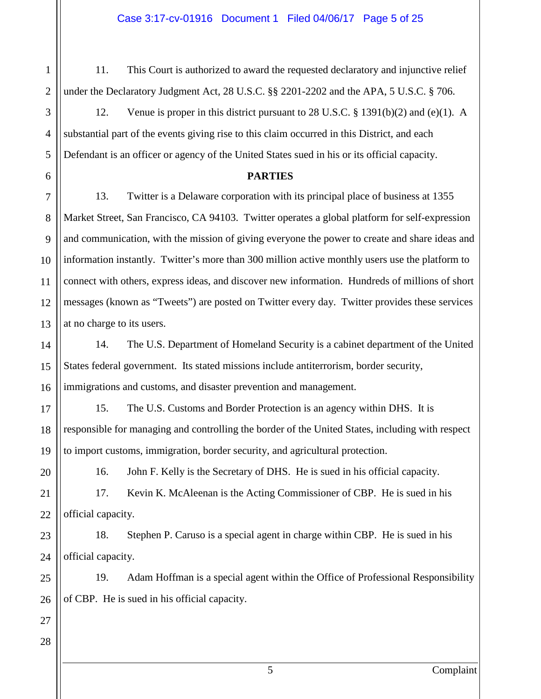11. This Court is authorized to award the requested declaratory and injunctive relief under the Declaratory Judgment Act, 28 U.S.C. §§ 2201-2202 and the APA, 5 U.S.C. § 706.

12. Venue is proper in this district pursuant to 28 U.S.C. § 1391(b)(2) and (e)(1). A substantial part of the events giving rise to this claim occurred in this District, and each Defendant is an officer or agency of the United States sued in his or its official capacity.

#### **PARTIES**

13. Twitter is a Delaware corporation with its principal place of business at 1355 Market Street, San Francisco, CA 94103. Twitter operates a global platform for self-expression and communication, with the mission of giving everyone the power to create and share ideas and information instantly. Twitter's more than 300 million active monthly users use the platform to connect with others, express ideas, and discover new information. Hundreds of millions of short messages (known as "Tweets") are posted on Twitter every day. Twitter provides these services at no charge to its users.

14. The U.S. Department of Homeland Security is a cabinet department of the United States federal government. Its stated missions include antiterrorism, border security, immigrations and customs, and disaster prevention and management.

15. The U.S. Customs and Border Protection is an agency within DHS. It is responsible for managing and controlling the border of the United States, including with respect to import customs, immigration, border security, and agricultural protection.

16. John F. Kelly is the Secretary of DHS. He is sued in his official capacity.

17. Kevin K. McAleenan is the Acting Commissioner of CBP. He is sued in his official capacity.

18. Stephen P. Caruso is a special agent in charge within CBP. He is sued in his official capacity.

19. Adam Hoffman is a special agent within the Office of Professional Responsibility of CBP. He is sued in his official capacity.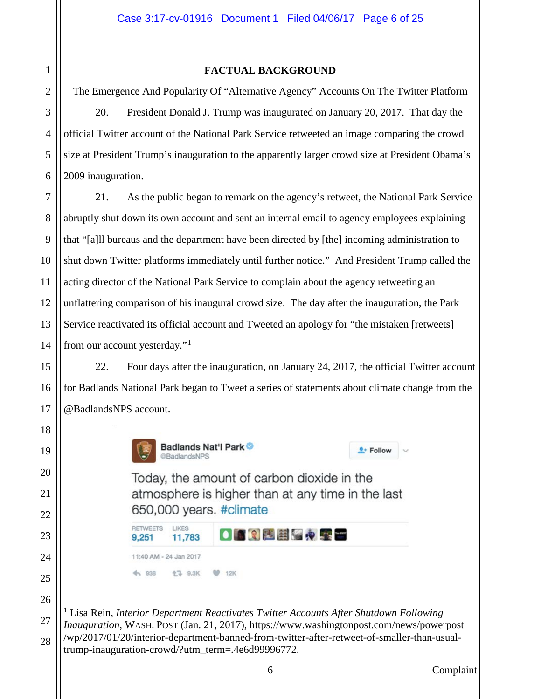# 2 3 4 5 6 7 8 9 10 11 12 13 14 15 16 17 18 19 20 21 22 23 24 25 26 27

<span id="page-5-0"></span>28

1

**FACTUAL BACKGROUND**

The Emergence And Popularity Of "Alternative Agency" Accounts On The Twitter Platform 20. President Donald J. Trump was inaugurated on January 20, 2017. That day the official Twitter account of the National Park Service retweeted an image comparing the crowd size at President Trump's inauguration to the apparently larger crowd size at President Obama's 2009 inauguration.

21. As the public began to remark on the agency's retweet, the National Park Service abruptly shut down its own account and sent an internal email to agency employees explaining that "[a]ll bureaus and the department have been directed by [the] incoming administration to shut down Twitter platforms immediately until further notice." And President Trump called the acting director of the National Park Service to complain about the agency retweeting an unflattering comparison of his inaugural crowd size. The day after the inauguration, the Park Service reactivated its official account and Tweeted an apology for "the mistaken [retweets] from our account yesterday."[1](#page-5-0)

22. Four days after the inauguration, on January 24, 2017, the official Twitter account for Badlands National Park began to Tweet a series of statements about climate change from the @BadlandsNPS account.



RETWEETS

LIKES

Badlands Nat'l Park @BadlandsNPS

Today, the amount of carbon dioxide in the atmosphere is higher than at any time in the last 650,000 years. #climate

<sup>0+</sup> Follow

 1 Lisa Rein, *Interior Department Reactivates Twitter Accounts After Shutdown Following Inauguration*, WASH. POST (Jan. 21, 2017), https://www.washingtonpost.com/news/powerpost /wp/2017/01/20/interior-department-banned-from-twitter-after-retweet-of-smaller-than-usualtrump-inauguration-crowd/?utm\_term=.4e6d99996772.

<sup>11,783</sup> 9,251 11:40 AM - 24 Jan 2017 4 938 **17 9.3K**  $9 - 12K$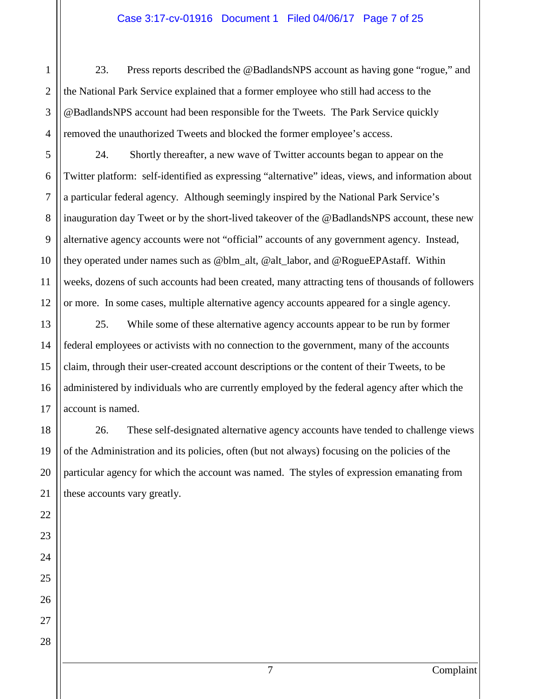#### Case 3:17-cv-01916 Document 1 Filed 04/06/17 Page 7 of 25

23. Press reports described the @BadlandsNPS account as having gone "rogue," and the National Park Service explained that a former employee who still had access to the @BadlandsNPS account had been responsible for the Tweets. The Park Service quickly removed the unauthorized Tweets and blocked the former employee's access.

24. Shortly thereafter, a new wave of Twitter accounts began to appear on the Twitter platform: self-identified as expressing "alternative" ideas, views, and information about a particular federal agency. Although seemingly inspired by the National Park Service's inauguration day Tweet or by the short-lived takeover of the @BadlandsNPS account, these new alternative agency accounts were not "official" accounts of any government agency. Instead, they operated under names such as @blm\_alt, @alt\_labor, and @RogueEPAstaff. Within weeks, dozens of such accounts had been created, many attracting tens of thousands of followers or more. In some cases, multiple alternative agency accounts appeared for a single agency.

25. While some of these alternative agency accounts appear to be run by former federal employees or activists with no connection to the government, many of the accounts claim, through their user-created account descriptions or the content of their Tweets, to be administered by individuals who are currently employed by the federal agency after which the account is named.

26. These self-designated alternative agency accounts have tended to challenge views of the Administration and its policies, often (but not always) focusing on the policies of the particular agency for which the account was named. The styles of expression emanating from these accounts vary greatly.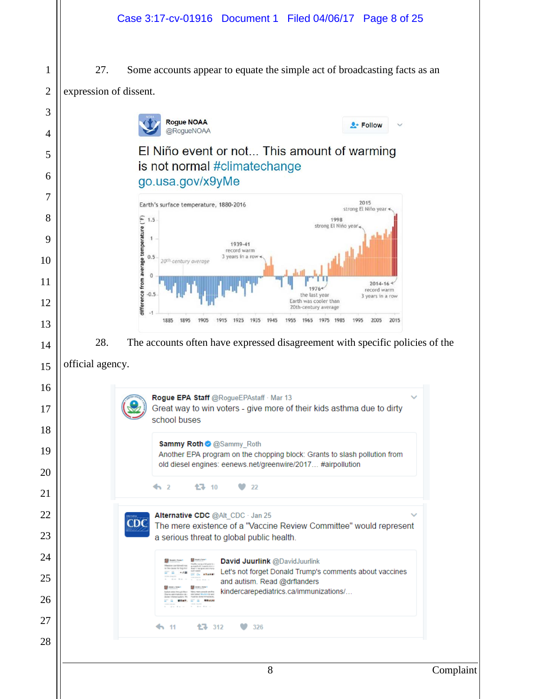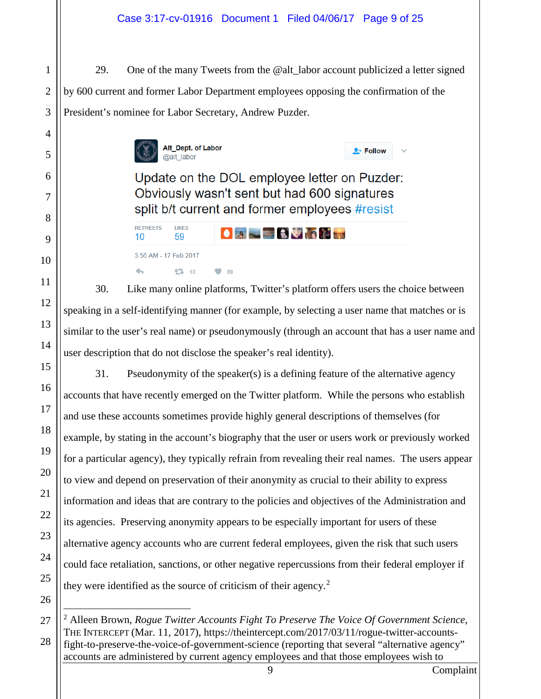## Case 3:17-cv-01916 Document 1 Filed 04/06/17 Page 9 of 25

29. One of the many Tweets from the @alt\_labor account publicized a letter signed by 600 current and former Labor Department employees opposing the confirmation of the President's nominee for Labor Secretary, Andrew Puzder.



**LIKES** 

59

3:56 AM - 17 Feb 2017

**RETWEETS** 

 $10<sup>1</sup>$ 

Update on the DOL employee letter on Puzder: Obviously wasn't sent but had 600 signatures split b/t current and former employees #resist

 $\bullet$  a set  $\bullet$   $\bullet$   $\bullet$   $\bullet$ 

 $2 +$  Follow

 $\overline{\phantom{a}}$ 17 10  $\bullet$  59 30. Like many online platforms, Twitter's platform offers users the choice between speaking in a self-identifying manner (for example, by selecting a user name that matches or is similar to the user's real name) or pseudonymously (through an account that has a user name and user description that do not disclose the speaker's real identity).

31. Pseudonymity of the speaker(s) is a defining feature of the alternative agency accounts that have recently emerged on the Twitter platform. While the persons who establish and use these accounts sometimes provide highly general descriptions of themselves (for example, by stating in the account's biography that the user or users work or previously worked for a particular agency), they typically refrain from revealing their real names. The users appear to view and depend on preservation of their anonymity as crucial to their ability to express information and ideas that are contrary to the policies and objectives of the Administration and its agencies. Preserving anonymity appears to be especially important for users of these alternative agency accounts who are current federal employees, given the risk that such users could face retaliation, sanctions, or other negative repercussions from their federal employer if they were identified as the source of criticism of their agency.<sup>[2](#page-8-0)</sup>

<span id="page-8-0"></span> <sup>2</sup> Alleen Brown, *Rogue Twitter Accounts Fight To Preserve The Voice Of Government Science*, THE INTERCEPT (Mar. 11, 2017), https://theintercept.com/2017/03/11/rogue-twitter-accountsfight-to-preserve-the-voice-of-government-science (reporting that several "alternative agency" accounts are administered by current agency employees and that those employees wish to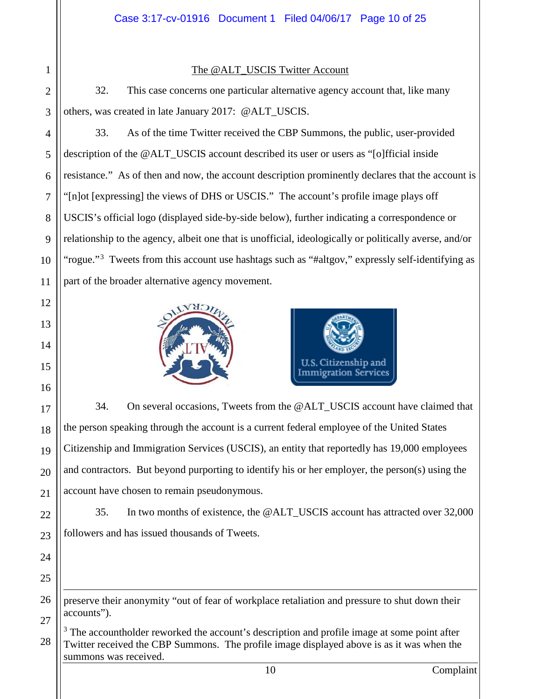#### The @ALT\_USCIS Twitter Account

32. This case concerns one particular alternative agency account that, like many others, was created in late January 2017: @ALT\_USCIS.

33. As of the time Twitter received the CBP Summons, the public, user-provided description of the @ALT\_USCIS account described its user or users as "[o]fficial inside resistance." As of then and now, the account description prominently declares that the account is "[n]ot [expressing] the views of DHS or USCIS." The account's profile image plays off USCIS's official logo (displayed side-by-side below), further indicating a correspondence or relationship to the agency, albeit one that is unofficial, ideologically or politically averse, and/or "rogue."<sup>[3](#page-9-0)</sup> Tweets from this account use hashtags such as "#altgov," expressly self-identifying as part of the broader alternative agency movement.





34. On several occasions, Tweets from the @ALT\_USCIS account have claimed that the person speaking through the account is a current federal employee of the United States Citizenship and Immigration Services (USCIS), an entity that reportedly has 19,000 employees and contractors. But beyond purporting to identify his or her employer, the person(s) using the account have chosen to remain pseudonymous.

35. In two months of existence, the @ALT\_USCIS account has attracted over 32,000 followers and has issued thousands of Tweets.

preserve their anonymity "out of fear of workplace retaliation and pressure to shut down their accounts").

<span id="page-9-0"></span> $3$  The accountholder reworked the account's description and profile image at some point after Twitter received the CBP Summons. The profile image displayed above is as it was when the summons was received.

 $\overline{a}$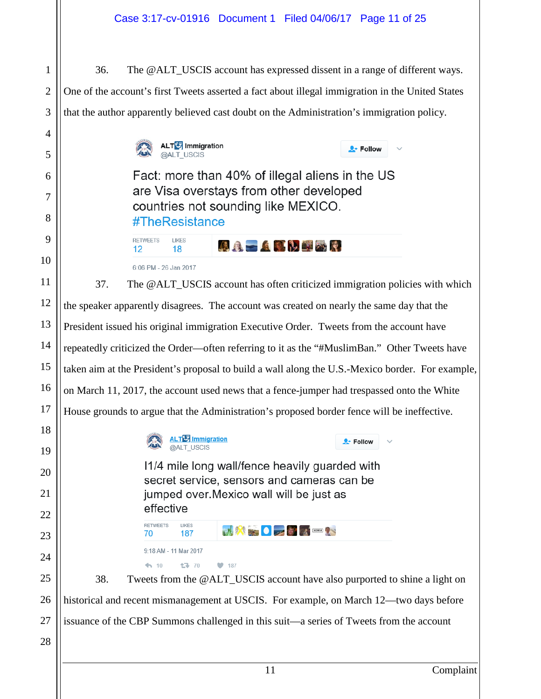36. The @ALT\_USCIS account has expressed dissent in a range of different ways. One of the account's first Tweets asserted a fact about illegal immigration in the United States that the author apparently believed cast doubt on the Administration's immigration policy. **ALT<sup>I</sup>** Immigration  $\bullet$  Follow @ALT USCIS Fact: more than 40% of illegal aliens in the US are Visa overstays from other developed countries not sounding like MEXICO. #TheResistance **RETWEETS LIKES AA A A G N E X R**  $12$ 18 6:06 PM - 26 Jan 2017 37. The @ALT\_USCIS account has often criticized immigration policies with which the speaker apparently disagrees. The account was created on nearly the same day that the President issued his original immigration Executive Order. Tweets from the account have

repeatedly criticized the Order—often referring to it as the "#MuslimBan." Other Tweets have taken aim at the President's proposal to build a wall along the U.S.-Mexico border. For example, on March 11, 2017, the account used news that a fence-jumper had trespassed onto the White House grounds to argue that the Administration's proposed border fence will be ineffective.

> **ALTE** Immigration @ALT USCIS 11/4 mile long wall/fence heavily guarded with

> > $9 - 187$

secret service, sensors and cameras can be jumped over Mexico wall will be just as effective

N X By O DE STREET

 $2 -$  Follow

9:18 AM - 11 Mar 2017

LIKES

187

17 70

**RETWEETS** 

 $410$ 

70

38. Tweets from the @ALT\_USCIS account have also purported to shine a light on historical and recent mismanagement at USCIS. For example, on March 12—two days before issuance of the CBP Summons challenged in this suit—a series of Tweets from the account

28

1

2

3

4

5

6

7

8

9

10

11

12

13

14

15

16

17

18

19

20

21

22

23

24

25

26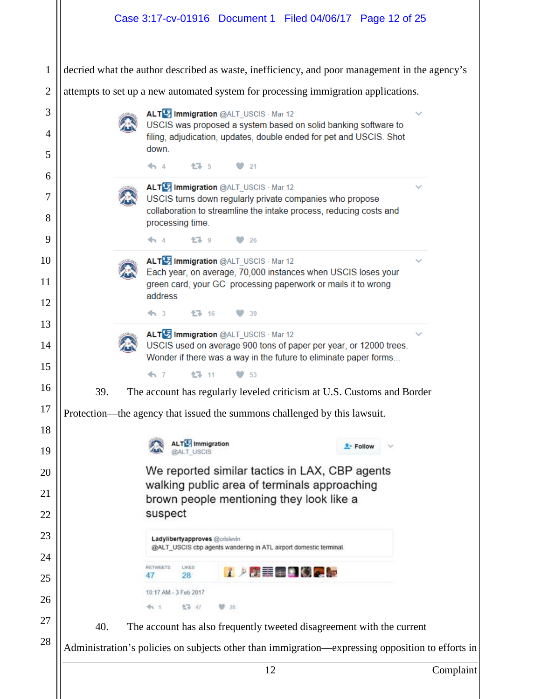|                                                                                    |  | Case 3:17-cv-01916 Document 1 Filed 04/06/17 Page 12 of 25 |      |                                                                                                                                            |          |  |
|------------------------------------------------------------------------------------|--|------------------------------------------------------------|------|--------------------------------------------------------------------------------------------------------------------------------------------|----------|--|
|                                                                                    |  |                                                            |      | decried what the author described as waste, inefficiency, and poor management in the agency's                                              |          |  |
| attempts to set up a new automated system for processing immigration applications. |  |                                                            |      |                                                                                                                                            |          |  |
|                                                                                    |  | ALT <sup>U</sup> Immigration @ALT_USCIS · Mar 12           |      |                                                                                                                                            |          |  |
|                                                                                    |  | down.                                                      |      | USCIS was proposed a system based on solid banking software to<br>filing, adjudication, updates, double ended for pet and USCIS. Shot      |          |  |
|                                                                                    |  | 17 5<br>$\bullet$ 4                                        | 21   |                                                                                                                                            |          |  |
|                                                                                    |  | ALT <sup>1</sup> Immigration @ALT_USCIS · Mar 12           |      |                                                                                                                                            |          |  |
|                                                                                    |  |                                                            |      | USCIS turns down regularly private companies who propose<br>collaboration to streamline the intake process, reducing costs and             |          |  |
|                                                                                    |  | processing time.<br><b>17</b> 9<br>$\bullet$ 4             | 26   |                                                                                                                                            |          |  |
|                                                                                    |  |                                                            |      |                                                                                                                                            |          |  |
|                                                                                    |  | ALT Immigration @ALT_USCIS · Mar 12                        |      | Each year, on average, 70,000 instances when USCIS loses your<br>green card, your GC processing paperwork or mails it to wrong             |          |  |
|                                                                                    |  | address                                                    |      |                                                                                                                                            |          |  |
|                                                                                    |  | $\leftrightarrow$ 3<br>$13 - 16$                           | 39   |                                                                                                                                            |          |  |
|                                                                                    |  | ALT Immigration @ALT_USCIS · Mar 12                        |      | USCIS used on average 900 tons of paper per year, or 12000 trees.                                                                          |          |  |
|                                                                                    |  |                                                            |      |                                                                                                                                            |          |  |
|                                                                                    |  | 17 11                                                      | 53   | Wonder if there was a way in the future to eliminate paper forms                                                                           |          |  |
| 39.                                                                                |  |                                                            |      | The account has regularly leveled criticism at U.S. Customs and Border                                                                     |          |  |
|                                                                                    |  |                                                            |      | Protection—the agency that issued the summons challenged by this lawsuit.                                                                  |          |  |
|                                                                                    |  | <b>ALTE</b> Immigration<br><b>@ALT USCIS</b>               |      |                                                                                                                                            | - Follow |  |
|                                                                                    |  |                                                            |      | We reported similar tactics in LAX, CBP agents<br>walking public area of terminals approaching<br>brown people mentioning they look like a |          |  |
|                                                                                    |  | suspect                                                    |      |                                                                                                                                            |          |  |
|                                                                                    |  | Ladylibertyapproves @crislevin                             |      | @ALT_USCIS cbp agents wandering in ATL airport domestic terminal                                                                           |          |  |
|                                                                                    |  | LIKES<br>RETWEETS<br>28                                    |      | 1ノ利罪用の例えた                                                                                                                                  |          |  |
|                                                                                    |  | 10:17 AM - 3 Feb 2017                                      |      |                                                                                                                                            |          |  |
|                                                                                    |  | 17 47<br>47.1                                              | 9 25 |                                                                                                                                            |          |  |
| 40.                                                                                |  |                                                            |      | The account has also frequently tweeted disagreement with the current                                                                      |          |  |
|                                                                                    |  |                                                            |      | Administration's policies on subjects other than immigration—expressing opposition to efforts in                                           |          |  |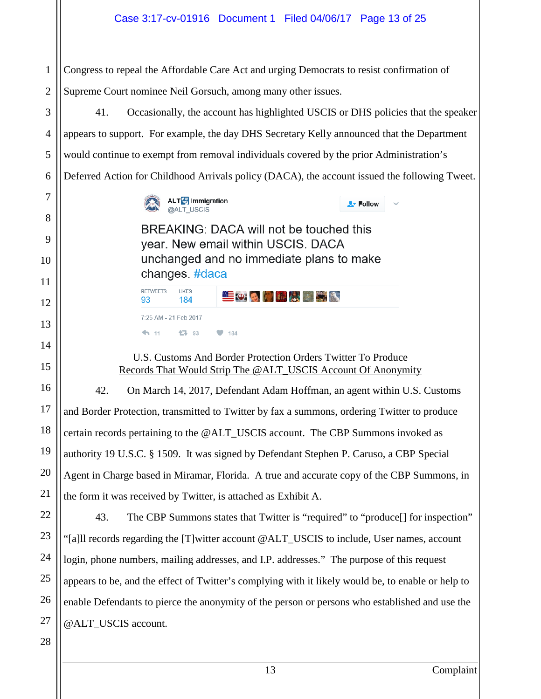1 2 Congress to repeal the Affordable Care Act and urging Democrats to resist confirmation of Supreme Court nominee Neil Gorsuch, among many other issues.

3 4 6 41. Occasionally, the account has highlighted USCIS or DHS policies that the speaker appears to support. For example, the day DHS Secretary Kelly announced that the Department would continue to exempt from removal individuals covered by the prior Administration's Deferred Action for Childhood Arrivals policy (DACA), the account issued the following Tweet.



184

17 93

 $\bullet$  184

7:25 AM - 21 Feb 2017

93

 $4.11$ 

BREAKING: DACA will not be touched this year. New email within USCIS. DACA unchanged and no immediate plans to make changes. #daca RETWEETS LIKES

**EOGORAN** 

 $\bullet$  Follow

U.S. Customs And Border Protection Orders Twitter To Produce Records That Would Strip The @ALT\_USCIS Account Of Anonymity

42. On March 14, 2017, Defendant Adam Hoffman, an agent within U.S. Customs and Border Protection, transmitted to Twitter by fax a summons, ordering Twitter to produce certain records pertaining to the @ALT\_USCIS account. The CBP Summons invoked as authority 19 U.S.C. § 1509. It was signed by Defendant Stephen P. Caruso, a CBP Special Agent in Charge based in Miramar, Florida. A true and accurate copy of the CBP Summons, in the form it was received by Twitter, is attached as Exhibit A.

43. The CBP Summons states that Twitter is "required" to "produce[] for inspection" "[a]ll records regarding the [T]witter account @ALT\_USCIS to include, User names, account login, phone numbers, mailing addresses, and I.P. addresses." The purpose of this request appears to be, and the effect of Twitter's complying with it likely would be, to enable or help to enable Defendants to pierce the anonymity of the person or persons who established and use the @ALT\_USCIS account.

5

7

8

9

10

11

12

13

14

15

16

17

18

19

20

21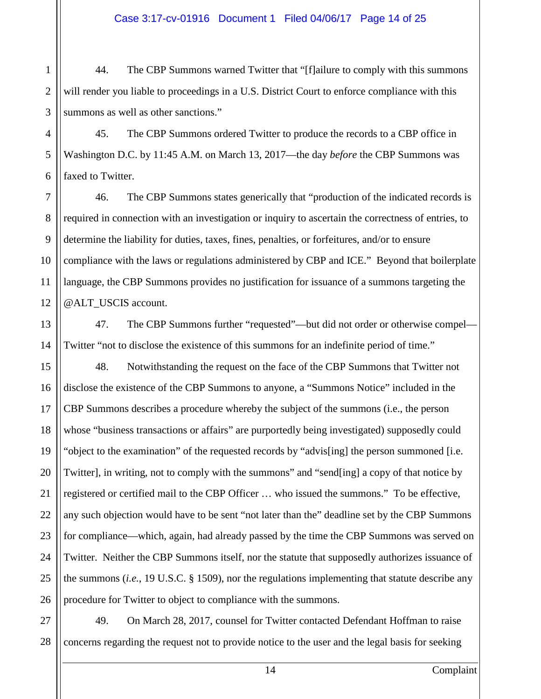#### Case 3:17-cv-01916 Document 1 Filed 04/06/17 Page 14 of 25

44. The CBP Summons warned Twitter that "[f]ailure to comply with this summons will render you liable to proceedings in a U.S. District Court to enforce compliance with this summons as well as other sanctions."

45. The CBP Summons ordered Twitter to produce the records to a CBP office in Washington D.C. by 11:45 A.M. on March 13, 2017—the day *before* the CBP Summons was faxed to Twitter.

46. The CBP Summons states generically that "production of the indicated records is required in connection with an investigation or inquiry to ascertain the correctness of entries, to determine the liability for duties, taxes, fines, penalties, or forfeitures, and/or to ensure compliance with the laws or regulations administered by CBP and ICE." Beyond that boilerplate language, the CBP Summons provides no justification for issuance of a summons targeting the @ALT\_USCIS account.

47. The CBP Summons further "requested"—but did not order or otherwise compel— Twitter "not to disclose the existence of this summons for an indefinite period of time."

48. Notwithstanding the request on the face of the CBP Summons that Twitter not disclose the existence of the CBP Summons to anyone, a "Summons Notice" included in the CBP Summons describes a procedure whereby the subject of the summons (i.e., the person whose "business transactions or affairs" are purportedly being investigated) supposedly could "object to the examination" of the requested records by "advis[ing] the person summoned [i.e. Twitter], in writing, not to comply with the summons" and "send[ing] a copy of that notice by registered or certified mail to the CBP Officer … who issued the summons." To be effective, any such objection would have to be sent "not later than the" deadline set by the CBP Summons for compliance—which, again, had already passed by the time the CBP Summons was served on Twitter. Neither the CBP Summons itself, nor the statute that supposedly authorizes issuance of the summons (*i.e.*, 19 U.S.C. § 1509), nor the regulations implementing that statute describe any procedure for Twitter to object to compliance with the summons.

49. On March 28, 2017, counsel for Twitter contacted Defendant Hoffman to raise concerns regarding the request not to provide notice to the user and the legal basis for seeking

1

2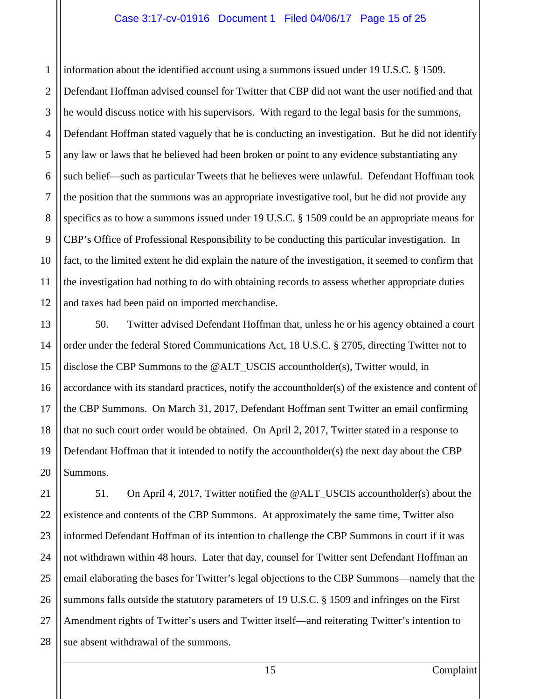#### Case 3:17-cv-01916 Document 1 Filed 04/06/17 Page 15 of 25

1

2

3

5

7

8

9

11

4 6 10 12 information about the identified account using a summons issued under 19 U.S.C. § 1509. Defendant Hoffman advised counsel for Twitter that CBP did not want the user notified and that he would discuss notice with his supervisors. With regard to the legal basis for the summons, Defendant Hoffman stated vaguely that he is conducting an investigation. But he did not identify any law or laws that he believed had been broken or point to any evidence substantiating any such belief—such as particular Tweets that he believes were unlawful. Defendant Hoffman took the position that the summons was an appropriate investigative tool, but he did not provide any specifics as to how a summons issued under 19 U.S.C. § 1509 could be an appropriate means for CBP's Office of Professional Responsibility to be conducting this particular investigation. In fact, to the limited extent he did explain the nature of the investigation, it seemed to confirm that the investigation had nothing to do with obtaining records to assess whether appropriate duties and taxes had been paid on imported merchandise.

13 14 15 16 17 18 19 20 50. Twitter advised Defendant Hoffman that, unless he or his agency obtained a court order under the federal Stored Communications Act, 18 U.S.C. § 2705, directing Twitter not to disclose the CBP Summons to the @ALT\_USCIS accountholder(s), Twitter would, in accordance with its standard practices, notify the accountholder(s) of the existence and content of the CBP Summons. On March 31, 2017, Defendant Hoffman sent Twitter an email confirming that no such court order would be obtained. On April 2, 2017, Twitter stated in a response to Defendant Hoffman that it intended to notify the accountholder(s) the next day about the CBP Summons.

21 22 23 24 25 26 27 28 51. On April 4, 2017, Twitter notified the @ALT\_USCIS accountholder(s) about the existence and contents of the CBP Summons. At approximately the same time, Twitter also informed Defendant Hoffman of its intention to challenge the CBP Summons in court if it was not withdrawn within 48 hours. Later that day, counsel for Twitter sent Defendant Hoffman an email elaborating the bases for Twitter's legal objections to the CBP Summons—namely that the summons falls outside the statutory parameters of 19 U.S.C. § 1509 and infringes on the First Amendment rights of Twitter's users and Twitter itself—and reiterating Twitter's intention to sue absent withdrawal of the summons.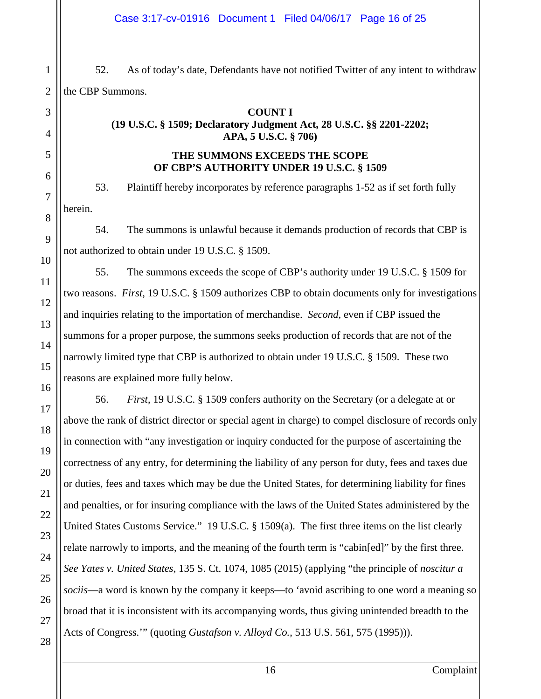52. As of today's date, Defendants have not notified Twitter of any intent to withdraw the CBP Summons.

#### **COUNT I**

#### **(19 U.S.C. § 1509; Declaratory Judgment Act, 28 U.S.C. §§ 2201-2202; APA, 5 U.S.C. § 706)**

#### **THE SUMMONS EXCEEDS THE SCOPE OF CBP'S AUTHORITY UNDER 19 U.S.C. § 1509**

53. Plaintiff hereby incorporates by reference paragraphs 1-52 as if set forth fully herein.

54. The summons is unlawful because it demands production of records that CBP is not authorized to obtain under 19 U.S.C. § 1509.

55. The summons exceeds the scope of CBP's authority under 19 U.S.C. § 1509 for two reasons. *First*, 19 U.S.C. § 1509 authorizes CBP to obtain documents only for investigations and inquiries relating to the importation of merchandise. *Second*, even if CBP issued the summons for a proper purpose, the summons seeks production of records that are not of the narrowly limited type that CBP is authorized to obtain under 19 U.S.C. § 1509. These two reasons are explained more fully below.

56. *First*, 19 U.S.C. § 1509 confers authority on the Secretary (or a delegate at or above the rank of district director or special agent in charge) to compel disclosure of records only in connection with "any investigation or inquiry conducted for the purpose of ascertaining the correctness of any entry, for determining the liability of any person for duty, fees and taxes due or duties, fees and taxes which may be due the United States, for determining liability for fines and penalties, or for insuring compliance with the laws of the United States administered by the United States Customs Service." 19 U.S.C. § 1509(a). The first three items on the list clearly relate narrowly to imports, and the meaning of the fourth term is "cabin[ed]" by the first three. *See Yates v. United States*, 135 S. Ct. 1074, 1085 (2015) (applying "the principle of *noscitur a sociis*—a word is known by the company it keeps—to 'avoid ascribing to one word a meaning so broad that it is inconsistent with its accompanying words, thus giving unintended breadth to the Acts of Congress.'" (quoting *Gustafson v. Alloyd Co.*, 513 U.S. 561, 575 (1995))).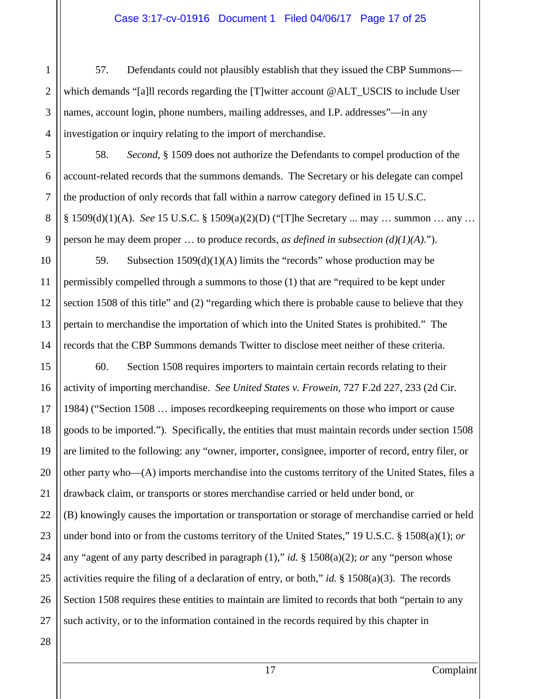57. Defendants could not plausibly establish that they issued the CBP Summons which demands "[a]ll records regarding the [T]witter account @ALT\_USCIS to include User names, account login, phone numbers, mailing addresses, and I.P. addresses"—in any investigation or inquiry relating to the import of merchandise.

58. *Second*, § 1509 does not authorize the Defendants to compel production of the account-related records that the summons demands. The Secretary or his delegate can compel the production of only records that fall within a narrow category defined in 15 U.S.C. § 1509(d)(1)(A). *See* 15 U.S.C. § 1509(a)(2)(D) ("[T]he Secretary ... may … summon … any … person he may deem proper … to produce records, *as defined in subsection (d)(1)(A)*.").

59. Subsection  $1509(d)(1)(A)$  limits the "records" whose production may be permissibly compelled through a summons to those (1) that are "required to be kept under section 1508 of this title" and (2) "regarding which there is probable cause to believe that they pertain to merchandise the importation of which into the United States is prohibited." The records that the CBP Summons demands Twitter to disclose meet neither of these criteria.

60. Section 1508 requires importers to maintain certain records relating to their activity of importing merchandise. *See United States v. Frowein*, 727 F.2d 227, 233 (2d Cir. 1984) ("Section 1508 … imposes recordkeeping requirements on those who import or cause goods to be imported.").Specifically, the entities that must maintain records under section 1508 are limited to the following: any "owner, importer, consignee, importer of record, entry filer, or other party who—(A) imports merchandise into the customs territory of the United States, files a drawback claim, or transports or stores merchandise carried or held under bond, or (B) knowingly causes the importation or transportation or storage of merchandise carried or held under bond into or from the customs territory of the United States," 19 U.S.C. § 1508(a)(1); *or* any "agent of any party described in paragraph (1)," *id.* § 1508(a)(2); *or* any "person whose activities require the filing of a declaration of entry, or both," *id.* § 1508(a)(3). The records Section 1508 requires these entities to maintain are limited to records that both "pertain to any such activity, or to the information contained in the records required by this chapter in

1

2

3

17 Complaint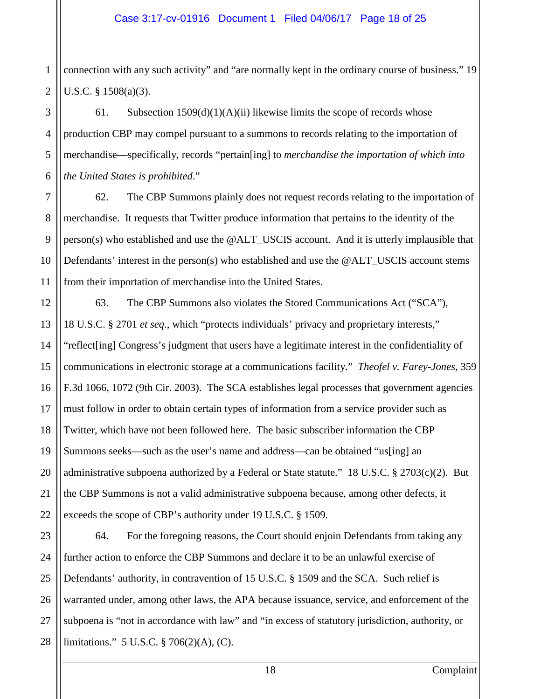1 2 connection with any such activity" and "are normally kept in the ordinary course of business." 19 U.S.C. § 1508(a)(3).

3 4 5 6 61. Subsection  $1509(d)(1)(A)(ii)$  likewise limits the scope of records whose production CBP may compel pursuant to a summons to records relating to the importation of merchandise—specifically, records "pertain[ing] to *merchandise the importation of which into the United States is prohibited*."

7

8

9

10

11

12

13

14

15

16

17

18

19

20

21

22

62. The CBP Summons plainly does not request records relating to the importation of merchandise. It requests that Twitter produce information that pertains to the identity of the  $person(s)$  who established and use the  $@ALT$  USCIS account. And it is utterly implausible that Defendants' interest in the person(s) who established and use the @ALT\_USCIS account stems from their importation of merchandise into the United States.

63. The CBP Summons also violates the Stored Communications Act ("SCA"), 18 U.S.C. § 2701 *et seq.*, which "protects individuals' privacy and proprietary interests," "reflect[ing] Congress's judgment that users have a legitimate interest in the confidentiality of communications in electronic storage at a communications facility." *Theofel v. Farey-Jones*, 359 F.3d 1066, 1072 (9th Cir. 2003). The SCA establishes legal processes that government agencies must follow in order to obtain certain types of information from a service provider such as Twitter, which have not been followed here. The basic subscriber information the CBP Summons seeks—such as the user's name and address—can be obtained "us[ing] an administrative subpoena authorized by a Federal or State statute." 18 U.S.C. § 2703(c)(2). But the CBP Summons is not a valid administrative subpoena because, among other defects, it exceeds the scope of CBP's authority under 19 U.S.C. § 1509.

23 24 25 26 27 28 64. For the foregoing reasons, the Court should enjoin Defendants from taking any further action to enforce the CBP Summons and declare it to be an unlawful exercise of Defendants' authority, in contravention of 15 U.S.C. § 1509 and the SCA. Such relief is warranted under, among other laws, the APA because issuance, service, and enforcement of the subpoena is "not in accordance with law" and "in excess of statutory jurisdiction, authority, or limitations." 5 U.S.C. § 706(2)(A), (C).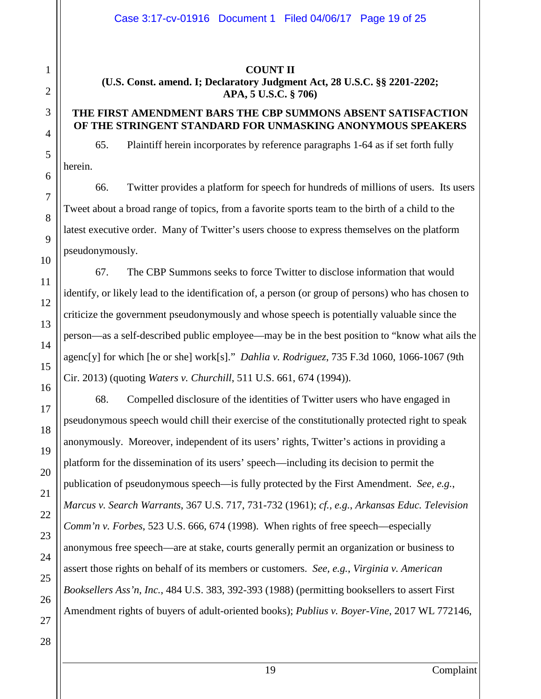#### **COUNT II**

**(U.S. Const. amend. I; Declaratory Judgment Act, 28 U.S.C. §§ 2201-2202; APA, 5 U.S.C. § 706)**

#### **THE FIRST AMENDMENT BARS THE CBP SUMMONS ABSENT SATISFACTION OF THE STRINGENT STANDARD FOR UNMASKING ANONYMOUS SPEAKERS**

65. Plaintiff herein incorporates by reference paragraphs 1-64 as if set forth fully herein.

66. Twitter provides a platform for speech for hundreds of millions of users. Its users Tweet about a broad range of topics, from a favorite sports team to the birth of a child to the latest executive order. Many of Twitter's users choose to express themselves on the platform pseudonymously.

67. The CBP Summons seeks to force Twitter to disclose information that would identify, or likely lead to the identification of, a person (or group of persons) who has chosen to criticize the government pseudonymously and whose speech is potentially valuable since the person—as a self-described public employee—may be in the best position to "know what ails the agenc[y] for which [he or she] work[s]." *Dahlia v. Rodriguez*, 735 F.3d 1060, 1066-1067 (9th Cir. 2013) (quoting *Waters v. Churchill*, 511 U.S. 661, 674 (1994)).

68. Compelled disclosure of the identities of Twitter users who have engaged in pseudonymous speech would chill their exercise of the constitutionally protected right to speak anonymously. Moreover, independent of its users' rights, Twitter's actions in providing a platform for the dissemination of its users' speech—including its decision to permit the publication of pseudonymous speech—is fully protected by the First Amendment. *See, e.g.*, *Marcus v. Search Warrants*, 367 U.S. 717, 731-732 (1961); *cf., e.g.*, *Arkansas Educ. Television Comm'n v. Forbes*, 523 U.S. 666, 674 (1998). When rights of free speech—especially anonymous free speech—are at stake, courts generally permit an organization or business to assert those rights on behalf of its members or customers. *See, e.g.*, *Virginia v. American Booksellers Ass'n, Inc.*, 484 U.S. 383, 392-393 (1988) (permitting booksellers to assert First Amendment rights of buyers of adult-oriented books); *Publius v. Boyer-Vine*, 2017 WL 772146,

1

2

3

4

5

19 Complaint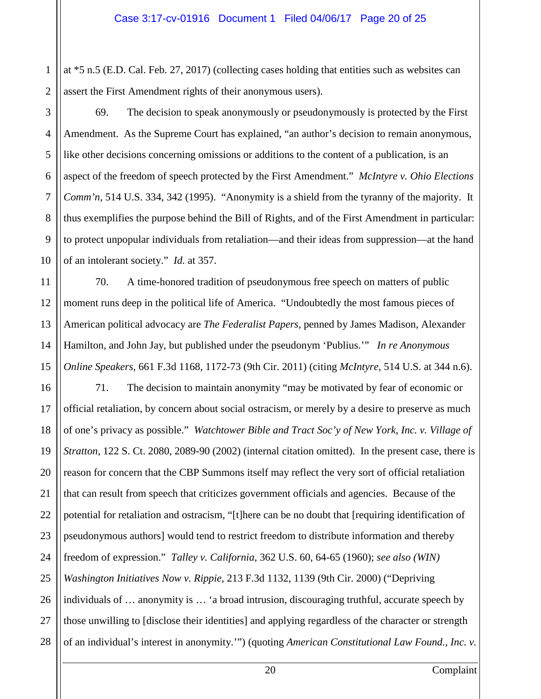1 2 at \*5 n.5 (E.D. Cal. Feb. 27, 2017) (collecting cases holding that entities such as websites can assert the First Amendment rights of their anonymous users).

69. The decision to speak anonymously or pseudonymously is protected by the First Amendment. As the Supreme Court has explained, "an author's decision to remain anonymous, like other decisions concerning omissions or additions to the content of a publication, is an aspect of the freedom of speech protected by the First Amendment." *McIntyre v. Ohio Elections Comm'n*, 514 U.S. 334, 342 (1995). "Anonymity is a shield from the tyranny of the majority. It thus exemplifies the purpose behind the Bill of Rights, and of the First Amendment in particular: to protect unpopular individuals from retaliation—and their ideas from suppression—at the hand of an intolerant society." *Id.* at 357.

70. A time-honored tradition of pseudonymous free speech on matters of public moment runs deep in the political life of America. "Undoubtedly the most famous pieces of American political advocacy are *The Federalist Papers*, penned by James Madison, Alexander Hamilton, and John Jay, but published under the pseudonym 'Publius.'" *In re Anonymous Online Speakers*, 661 F.3d 1168, 1172-73 (9th Cir. 2011) (citing *McIntyre*, 514 U.S. at 344 n.6).

71. The decision to maintain anonymity "may be motivated by fear of economic or official retaliation, by concern about social ostracism, or merely by a desire to preserve as much of one's privacy as possible." *Watchtower Bible and Tract Soc'y of New York, Inc. v. Village of Stratton*, 122 S. Ct. 2080, 2089-90 (2002) (internal citation omitted). In the present case, there is reason for concern that the CBP Summons itself may reflect the very sort of official retaliation that can result from speech that criticizes government officials and agencies. Because of the potential for retaliation and ostracism, "[t]here can be no doubt that [requiring identification of pseudonymous authors] would tend to restrict freedom to distribute information and thereby freedom of expression." *Talley v. California*, 362 U.S. 60, 64-65 (1960); *see also (WIN) Washington Initiatives Now v. Rippie*, 213 F.3d 1132, 1139 (9th Cir. 2000) ("Depriving individuals of … anonymity is … 'a broad intrusion, discouraging truthful, accurate speech by those unwilling to [disclose their identities] and applying regardless of the character or strength of an individual's interest in anonymity.'") (quoting *American Constitutional Law Found., Inc. v.* 

20 Complaint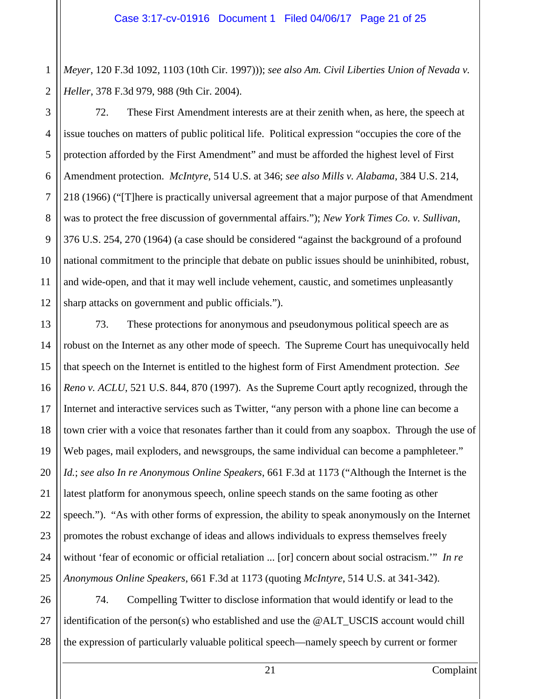1 2 *Meyer*, 120 F.3d 1092, 1103 (10th Cir. 1997))); *see also Am. Civil Liberties Union of Nevada v. Heller*, 378 F.3d 979, 988 (9th Cir. 2004).

3

4

5

7

9

11

13

14

15

16

17

18

19

20

21

22

23

24

25

6 8 10 12 72. These First Amendment interests are at their zenith when, as here, the speech at issue touches on matters of public political life. Political expression "occupies the core of the protection afforded by the First Amendment" and must be afforded the highest level of First Amendment protection. *McIntyre*, 514 U.S. at 346; *see also Mills v. Alabama*, 384 U.S. 214, 218 (1966) ("[T]here is practically universal agreement that a major purpose of that Amendment was to protect the free discussion of governmental affairs."); *New York Times Co. v. Sullivan*, 376 U.S. 254, 270 (1964) (a case should be considered "against the background of a profound national commitment to the principle that debate on public issues should be uninhibited, robust, and wide-open, and that it may well include vehement, caustic, and sometimes unpleasantly sharp attacks on government and public officials.").

73. These protections for anonymous and pseudonymous political speech are as robust on the Internet as any other mode of speech. The Supreme Court has unequivocally held that speech on the Internet is entitled to the highest form of First Amendment protection. *See Reno v. ACLU*, 521 U.S. 844, 870 (1997). As the Supreme Court aptly recognized, through the Internet and interactive services such as Twitter, "any person with a phone line can become a town crier with a voice that resonates farther than it could from any soapbox. Through the use of Web pages, mail exploders, and newsgroups, the same individual can become a pamphleteer." *Id.*; *see also In re Anonymous Online Speakers*, 661 F.3d at 1173 ("Although the Internet is the latest platform for anonymous speech, online speech stands on the same footing as other speech."). "As with other forms of expression, the ability to speak anonymously on the Internet promotes the robust exchange of ideas and allows individuals to express themselves freely without 'fear of economic or official retaliation ... [or] concern about social ostracism.'" *In re Anonymous Online Speakers*, 661 F.3d at 1173 (quoting *McIntyre*, 514 U.S. at 341-342).

26 27 28 74. Compelling Twitter to disclose information that would identify or lead to the identification of the person(s) who established and use the @ALT\_USCIS account would chill the expression of particularly valuable political speech—namely speech by current or former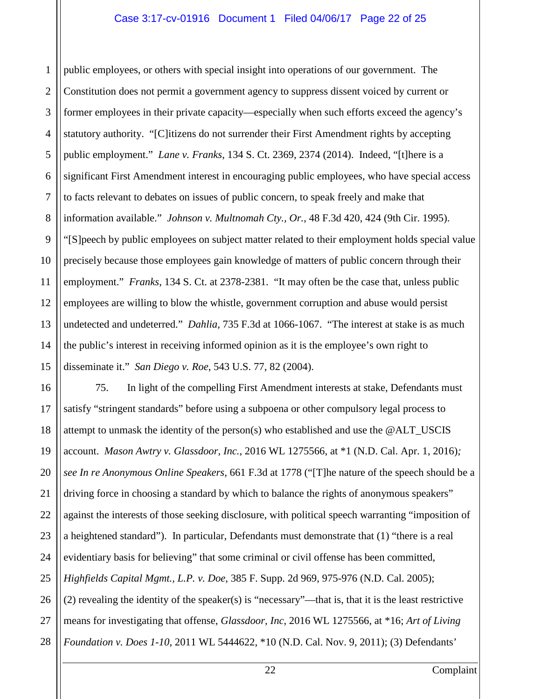1 2 3 4 5 6 7 8 9 10 11 12 13 14 15 public employees, or others with special insight into operations of our government. The Constitution does not permit a government agency to suppress dissent voiced by current or former employees in their private capacity—especially when such efforts exceed the agency's statutory authority. "[C]itizens do not surrender their First Amendment rights by accepting public employment." *Lane v. Franks*, 134 S. Ct. 2369, 2374 (2014). Indeed, "[t]here is a significant First Amendment interest in encouraging public employees, who have special access to facts relevant to debates on issues of public concern, to speak freely and make that information available." *Johnson v. Multnomah Cty., Or.*, 48 F.3d 420, 424 (9th Cir. 1995). "[S]peech by public employees on subject matter related to their employment holds special value precisely because those employees gain knowledge of matters of public concern through their employment." *Franks*, 134 S. Ct. at 2378-2381. "It may often be the case that, unless public employees are willing to blow the whistle, government corruption and abuse would persist undetected and undeterred." *Dahlia*, 735 F.3d at 1066-1067. "The interest at stake is as much the public's interest in receiving informed opinion as it is the employee's own right to disseminate it." *San Diego v. Roe*, 543 U.S. 77, 82 (2004).

16 17 18 19 20 21 22 23 24 25 26 27 28 75. In light of the compelling First Amendment interests at stake, Defendants must satisfy "stringent standards" before using a subpoena or other compulsory legal process to attempt to unmask the identity of the person(s) who established and use the @ALT\_USCIS account. *Mason Awtry v. Glassdoor, Inc.*, 2016 WL 1275566, at \*1 (N.D. Cal. Apr. 1, 2016)*; see In re Anonymous Online Speakers*, 661 F.3d at 1778 ("[T]he nature of the speech should be a driving force in choosing a standard by which to balance the rights of anonymous speakers" against the interests of those seeking disclosure, with political speech warranting "imposition of a heightened standard"). In particular, Defendants must demonstrate that (1) "there is a real evidentiary basis for believing" that some criminal or civil offense has been committed, *Highfields Capital Mgmt., L.P. v. Doe*, 385 F. Supp. 2d 969, 975-976 (N.D. Cal. 2005); (2) revealing the identity of the speaker(s) is "necessary"—that is, that it is the least restrictive means for investigating that offense, *Glassdoor, Inc*, 2016 WL 1275566, at \*16; *Art of Living Foundation v. Does 1-10*, 2011 WL 5444622, \*10 (N.D. Cal. Nov. 9, 2011); (3) Defendants'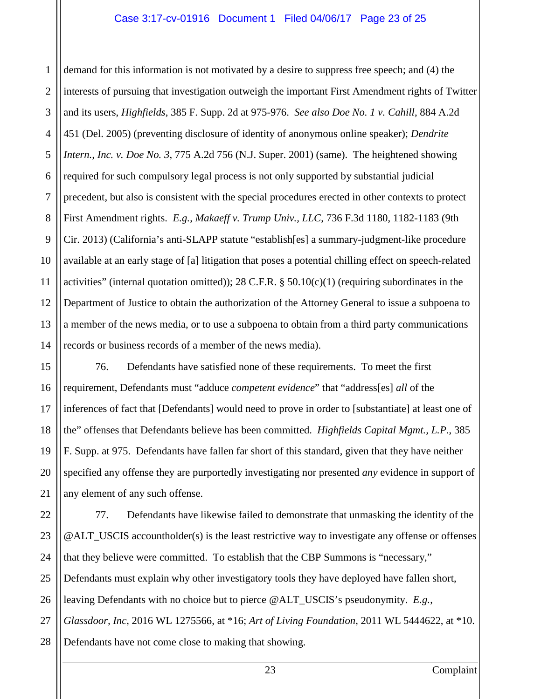#### Case 3:17-cv-01916 Document 1 Filed 04/06/17 Page 23 of 25

1 2 3 4 5 6 7 8 9 10 11 12 13 14 demand for this information is not motivated by a desire to suppress free speech; and (4) the interests of pursuing that investigation outweigh the important First Amendment rights of Twitter and its users, *Highfields*, 385 F. Supp. 2d at 975-976. *See also Doe No. 1 v. Cahill*, 884 A.2d 451 (Del. 2005) (preventing disclosure of identity of anonymous online speaker); *Dendrite Intern., Inc. v. Doe No. 3*, 775 A.2d 756 (N.J. Super. 2001) (same). The heightened showing required for such compulsory legal process is not only supported by substantial judicial precedent, but also is consistent with the special procedures erected in other contexts to protect First Amendment rights. *E.g.*, *Makaeff v. Trump Univ., LLC*, 736 F.3d 1180, 1182-1183 (9th Cir. 2013) (California's anti-SLAPP statute "establish[es] a summary-judgment-like procedure available at an early stage of [a] litigation that poses a potential chilling effect on speech-related activities" (internal quotation omitted)); 28 C.F.R.  $\S$  50.10(c)(1) (requiring subordinates in the Department of Justice to obtain the authorization of the Attorney General to issue a subpoena to a member of the news media, or to use a subpoena to obtain from a third party communications records or business records of a member of the news media).

76. Defendants have satisfied none of these requirements. To meet the first requirement, Defendants must "adduce *competent evidence*" that "address[es] *all* of the inferences of fact that [Defendants] would need to prove in order to [substantiate] at least one of the" offenses that Defendants believe has been committed. *Highfields Capital Mgmt., L.P.*, 385 F. Supp. at 975. Defendants have fallen far short of this standard, given that they have neither specified any offense they are purportedly investigating nor presented *any* evidence in support of any element of any such offense.

15

16

17

18

19

20

21

22 23 24 25 26 27 28 77. Defendants have likewise failed to demonstrate that unmasking the identity of the @ALT\_USCIS accountholder(s) is the least restrictive way to investigate any offense or offenses that they believe were committed. To establish that the CBP Summons is "necessary," Defendants must explain why other investigatory tools they have deployed have fallen short, leaving Defendants with no choice but to pierce @ALT\_USCIS's pseudonymity. *E.g.*, *Glassdoor, Inc*, 2016 WL 1275566, at \*16; *Art of Living Foundation*, 2011 WL 5444622, at \*10. Defendants have not come close to making that showing.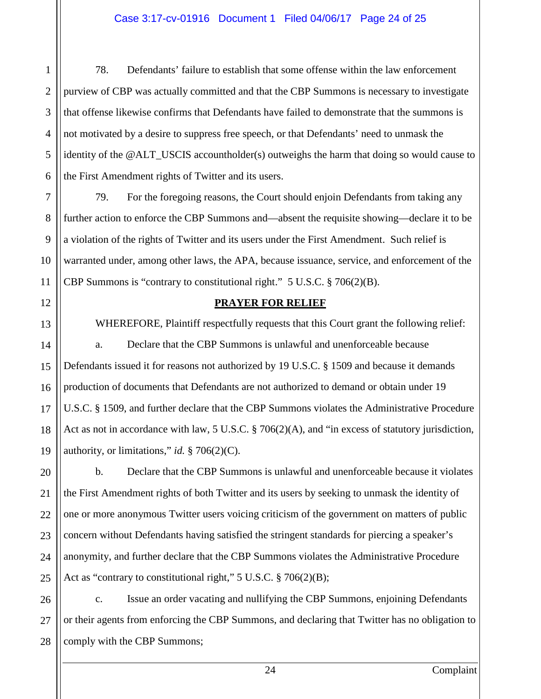#### Case 3:17-cv-01916 Document 1 Filed 04/06/17 Page 24 of 25

78. Defendants' failure to establish that some offense within the law enforcement purview of CBP was actually committed and that the CBP Summons is necessary to investigate that offense likewise confirms that Defendants have failed to demonstrate that the summons is not motivated by a desire to suppress free speech, or that Defendants' need to unmask the identity of the @ALT\_USCIS accountholder(s) outweighs the harm that doing so would cause to the First Amendment rights of Twitter and its users.

79. For the foregoing reasons, the Court should enjoin Defendants from taking any further action to enforce the CBP Summons and—absent the requisite showing—declare it to be a violation of the rights of Twitter and its users under the First Amendment. Such relief is warranted under, among other laws, the APA, because issuance, service, and enforcement of the CBP Summons is "contrary to constitutional right." 5 U.S.C. § 706(2)(B).

#### **PRAYER FOR RELIEF**

WHEREFORE, Plaintiff respectfully requests that this Court grant the following relief: a. Declare that the CBP Summons is unlawful and unenforceable because Defendants issued it for reasons not authorized by 19 U.S.C. § 1509 and because it demands production of documents that Defendants are not authorized to demand or obtain under 19 U.S.C. § 1509, and further declare that the CBP Summons violates the Administrative Procedure Act as not in accordance with law, 5 U.S.C. § 706(2)(A), and "in excess of statutory jurisdiction, authority, or limitations," *id.* § 706(2)(C).

b. Declare that the CBP Summons is unlawful and unenforceable because it violates the First Amendment rights of both Twitter and its users by seeking to unmask the identity of one or more anonymous Twitter users voicing criticism of the government on matters of public concern without Defendants having satisfied the stringent standards for piercing a speaker's anonymity, and further declare that the CBP Summons violates the Administrative Procedure Act as "contrary to constitutional right," 5 U.S.C. § 706(2)(B);

c. Issue an order vacating and nullifying the CBP Summons, enjoining Defendants or their agents from enforcing the CBP Summons, and declaring that Twitter has no obligation to comply with the CBP Summons;

1